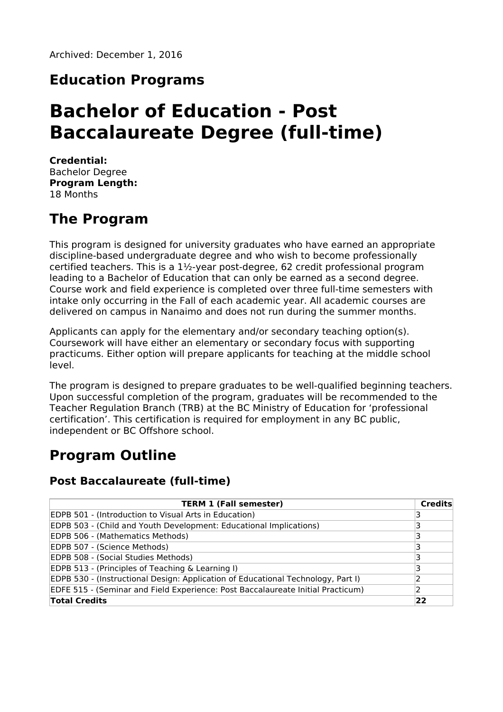## **Education Programs**

# **Bachelor of Education - Post Baccalaureate Degree (full-time)**

**Credential:** Bachelor Degree **Program Length:** 18 Months

## **The Program**

This program is designed for university graduates who have earned an appropriate discipline-based undergraduate degree and who wish to become professionally certified teachers. This is a 1½-year post-degree, 62 credit professional program leading to a Bachelor of Education that can only be earned as a second degree. Course work and field experience is completed over three full-time semesters with intake only occurring in the Fall of each academic year. All academic courses are delivered on campus in Nanaimo and does not run during the summer months.

Applicants can apply for the elementary and/or secondary teaching option(s). Coursework will have either an elementary or secondary focus with supporting practicums. Either option will prepare applicants for teaching at the middle school level.

The program is designed to prepare graduates to be well-qualified beginning teachers. Upon successful completion of the program, graduates will be recommended to the Teacher Regulation Branch (TRB) at the BC Ministry of Education for 'professional certification'. This certification is required for employment in any BC public, independent or BC Offshore school.

## **Program Outline**

### **Post Baccalaureate (full-time)**

| <b>TERM 1 (Fall semester)</b>                                                    | <b>Credits</b> |
|----------------------------------------------------------------------------------|----------------|
| EDPB 501 - (Introduction to Visual Arts in Education)                            |                |
| EDPB 503 - (Child and Youth Development: Educational Implications)               |                |
| EDPB 506 - (Mathematics Methods)                                                 |                |
| EDPB 507 - (Science Methods)                                                     |                |
| EDPB 508 - (Social Studies Methods)                                              |                |
| EDPB 513 - (Principles of Teaching & Learning I)                                 |                |
| EDPB 530 - (Instructional Design: Application of Educational Technology, Part I) |                |
| EDFE 515 - (Seminar and Field Experience: Post Baccalaureate Initial Practicum)  |                |
| <b>Total Credits</b>                                                             | 22             |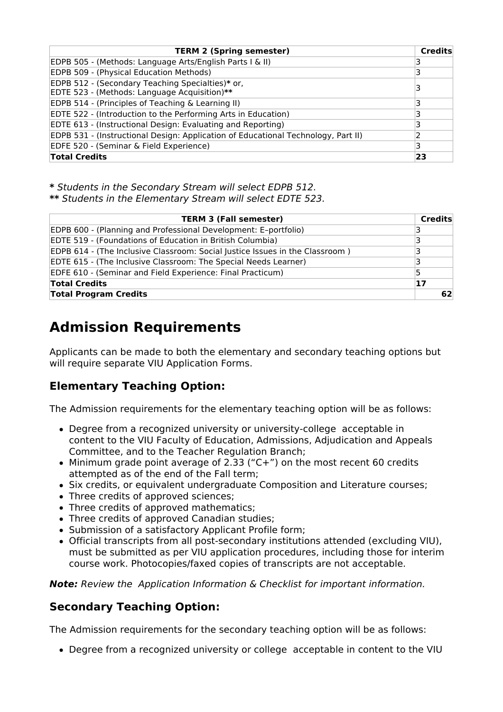| <b>TERM 2 (Spring semester)</b>                                                                  | Credits |
|--------------------------------------------------------------------------------------------------|---------|
| EDPB 505 - (Methods: Language Arts/English Parts I & II)                                         |         |
| EDPB 509 - (Physical Education Methods)                                                          |         |
| EDPB 512 - (Secondary Teaching Specialties)* or,<br>EDTE 523 - (Methods: Language Acquisition)** |         |
| EDPB 514 - (Principles of Teaching & Learning II)                                                |         |
| EDTE 522 - (Introduction to the Performing Arts in Education)                                    |         |
| EDTE 613 - (Instructional Design: Evaluating and Reporting)                                      |         |
| EDPB 531 - (Instructional Design: Application of Educational Technology, Part II)                |         |
| EDFE 520 - (Seminar & Field Experience)                                                          | 3       |
| <b>Total Credits</b>                                                                             | 23      |

**\*** Students in the Secondary Stream will select EDPB 512.

**\*\*** Students in the Elementary Stream will select EDTE 523.

| <b>TERM 3 (Fall semester)</b>                                                | <b>Credits</b> |
|------------------------------------------------------------------------------|----------------|
| EDPB 600 - (Planning and Professional Development: E-portfolio)              | 3              |
| EDTE 519 - (Foundations of Education in British Columbia)                    | 3              |
| EDPB 614 - (The Inclusive Classroom: Social Justice Issues in the Classroom) | 3              |
| EDTE 615 - (The Inclusive Classroom: The Special Needs Learner)              | 3              |
| EDFE 610 - (Seminar and Field Experience: Final Practicum)                   | 5              |
| <b>Total Credits</b>                                                         | 17             |
| <b>Total Program Credits</b>                                                 | 62             |

## **Admission Requirements**

Applicants can be made to both the elementary and secondary teaching options but will require separate VIU Application Forms.

## **Elementary Teaching Option:**

The Admission requirements for the elementary teaching option will be as follows:

- Degree from a recognized university or university-college acceptable in content to the VIU Faculty of Education, Admissions, Adjudication and Appeals Committee, and to the Teacher Regulation Branch;
- $\bullet$  Minimum grade point average of 2.33 ("C+") on the most recent 60 credits attempted as of the end of the Fall term;
- Six credits, or equivalent undergraduate Composition and Literature courses;
- Three credits of approved sciences;
- Three credits of approved mathematics:
- Three credits of approved Canadian studies;
- Submission of a satisfactory Applicant Profile form;
- Official transcripts from all post-secondary institutions attended (excluding VIU), must be submitted as per VIU application procedures, including those for interim course work. Photocopies/faxed copies of transcripts are not acceptable.

**Note:** Review the Application Information & Checklist for important information.

### **Secondary Teaching Option:**

The Admission requirements for the secondary teaching option will be as follows:

Degree from a recognized university or college acceptable in content to the VIU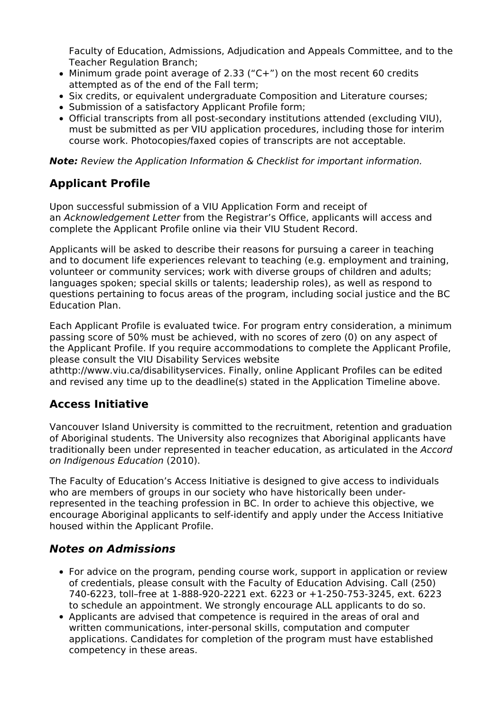Faculty of Education, Admissions, Adjudication and Appeals Committee, and to the Teacher Regulation Branch;

- Minimum grade point average of 2.33 ("C+") on the most recent 60 credits attempted as of the end of the Fall term;
- Six credits, or equivalent undergraduate Composition and Literature courses;
- Submission of a satisfactory Applicant Profile form;
- Official transcripts from all post-secondary institutions attended (excluding VIU), must be submitted as per VIU application procedures, including those for interim course work. Photocopies/faxed copies of transcripts are not acceptable.

**Note:** Review the Application Information & Checklist for important information.

## **Applicant Profile**

Upon successful submission of a VIU Application Form and receipt of an Acknowledgement Letter from the Registrar's Office, applicants will access and complete the Applicant Profile online via their VIU Student Record.

Applicants will be asked to describe their reasons for pursuing a career in teaching and to document life experiences relevant to teaching (e.g. employment and training, volunteer or community services; work with diverse groups of children and adults; languages spoken; special skills or talents; leadership roles), as well as respond to questions pertaining to focus areas of the program, including social justice and the BC Education Plan.

Each Applicant Profile is evaluated twice. For program entry consideration, a minimum passing score of 50% must be achieved, with no scores of zero (0) on any aspect of the Applicant Profile. If you require accommodations to complete the Applicant Profile, please consult the VIU Disability Services website

athttp://www.viu.ca/disabilityservices. Finally, online Applicant Profiles can be edited and revised any time up to the deadline(s) stated in the Application Timeline above.

### **Access Initiative**

Vancouver Island University is committed to the recruitment, retention and graduation of Aboriginal students. The University also recognizes that Aboriginal applicants have traditionally been under represented in teacher education, as articulated in the Accord on Indigenous Education (2010).

The Faculty of Education's Access Initiative is designed to give access to individuals who are members of groups in our society who have historically been underrepresented in the teaching profession in BC. In order to achieve this objective, we encourage Aboriginal applicants to self-identify and apply under the Access Initiative housed within the Applicant Profile.

### **Notes on Admissions**

- For advice on the program, pending course work, support in application or review of credentials, please consult with the Faculty of Education Advising. Call (250) 740-6223, toll–free at 1-888-920-2221 ext. 6223 or +1-250-753-3245, ext. 6223 to schedule an appointment. We strongly encourage ALL applicants to do so.
- Applicants are advised that competence is required in the areas of oral and written communications, inter-personal skills, computation and computer applications. Candidates for completion of the program must have established competency in these areas.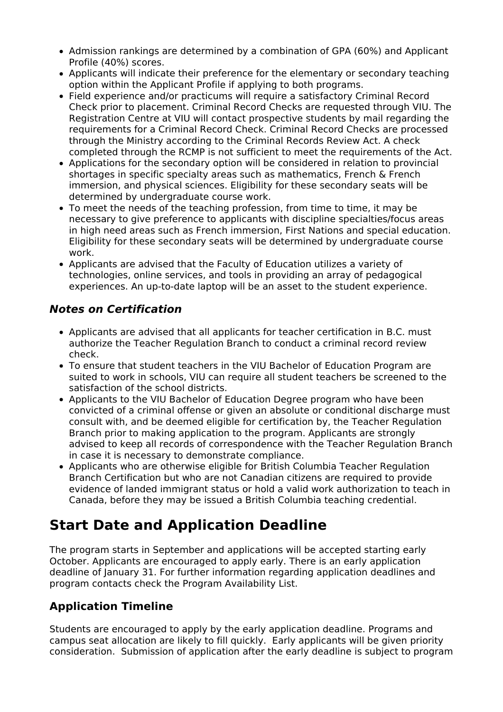- Admission rankings are determined by a combination of GPA (60%) and Applicant Profile (40%) scores.
- Applicants will indicate their preference for the elementary or secondary teaching option within the Applicant Profile if applying to both programs.
- Field experience and/or practicums will require a satisfactory Criminal Record Check prior to placement. Criminal Record Checks are requested through VIU. The Registration Centre at VIU will contact prospective students by mail regarding the requirements for a Criminal Record Check. Criminal Record Checks are processed through the Ministry according to the Criminal Records Review Act. A check completed through the RCMP is not sufficient to meet the requirements of the Act.
- Applications for the secondary option will be considered in relation to provincial shortages in specific specialty areas such as mathematics, French & French immersion, and physical sciences. Eligibility for these secondary seats will be determined by undergraduate course work.
- To meet the needs of the teaching profession, from time to time, it may be necessary to give preference to applicants with discipline specialties/focus areas in high need areas such as French immersion, First Nations and special education. Eligibility for these secondary seats will be determined by undergraduate course work.
- Applicants are advised that the Faculty of Education utilizes a variety of technologies, online services, and tools in providing an array of pedagogical experiences. An up-to-date laptop will be an asset to the student experience.

### **Notes on Certification**

- Applicants are advised that all applicants for teacher certification in B.C. must authorize the Teacher Regulation Branch to conduct a criminal record review check.
- To ensure that student teachers in the VIU Bachelor of Education Program are suited to work in schools, VIU can require all student teachers be screened to the satisfaction of the school districts.
- Applicants to the VIU Bachelor of Education Degree program who have been convicted of a criminal offense or given an absolute or conditional discharge must consult with, and be deemed eligible for certification by, the Teacher Regulation Branch prior to making application to the program. Applicants are strongly advised to keep all records of correspondence with the Teacher Regulation Branch in case it is necessary to demonstrate compliance.
- Applicants who are otherwise eligible for British Columbia Teacher Regulation Branch Certification but who are not Canadian citizens are required to provide evidence of landed immigrant status or hold a valid work authorization to teach in Canada, before they may be issued a British Columbia teaching credential.

## **Start Date and Application Deadline**

The program starts in September and applications will be accepted starting early October. Applicants are encouraged to apply early. There is an early application deadline of January 31. For further information regarding application deadlines and program contacts check the Program Availability List.

## **Application Timeline**

Students are encouraged to apply by the early application deadline. Programs and campus seat allocation are likely to fill quickly. Early applicants will be given priority consideration. Submission of application after the early deadline is subject to program